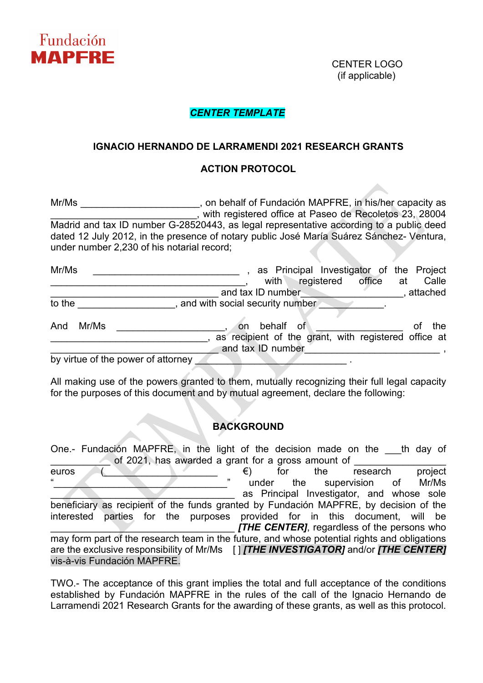

## *CENTER TEMPLATE*

## **IGNACIO HERNANDO DE LARRAMENDI 2021 RESEARCH GRANTS**

## **ACTION PROTOCOL**

Mr/Ms \_\_\_\_\_\_\_\_\_\_\_\_\_\_\_\_\_\_\_\_\_\_\_, on behalf of Fundación MAPFRE, in his/her capacity as \_\_\_\_\_\_\_\_\_\_\_\_\_\_\_\_\_\_\_\_\_\_\_\_\_\_\_, with registered office at Paseo de Recoletos 23, 28004 Madrid and tax ID number G-28520443, as legal representative according to a public deed dated 12 July 2012, in the presence of notary public José María Suárez Sánchez- Ventura, under number 2,230 of his notarial record;

| Mr/Ms  |                                    |                                                      | as Principal Investigator of the Project |            |
|--------|------------------------------------|------------------------------------------------------|------------------------------------------|------------|
|        |                                    |                                                      | with registered office at Calle          |            |
|        |                                    | and tax ID number                                    |                                          | , attached |
| to the |                                    | and with social security number                      |                                          |            |
| And    | Mr/Ms                              | behalf of<br><b>on</b>                               |                                          | the<br>ot  |
|        |                                    | as recipient of the grant, with registered office at |                                          |            |
|        |                                    | and tax ID number                                    |                                          |            |
|        | by virtue of the power of attorney |                                                      |                                          |            |

All making use of the powers granted to them, mutually recognizing their full legal capacity for the purposes of this document and by mutual agreement, declare the following:

# **BACKGROUND**

One.- Fundación MAPFRE, in the light of the decision made on the the day of of 2021, has awarded a grant for a gross amount of euros (\_\_\_\_\_\_\_\_\_\_\_\_\_\_\_\_\_\_\_\_\_ €) for the research project under the supervision of Mr/Ms as Principal Investigator, and whose sole beneficiary as recipient of the funds granted by Fundación MAPFRE, by decision of the interested parties for the purposes provided for in this document, will be *[THE CENTER]*, regardless of the persons who may form part of the research team in the future, and whose potential rights and obligations are the exclusive responsibility of Mr/Ms [ ] *[THE INVESTIGATOR]* and/or *[THE CENTER]* vis-à-vis Fundación MAPFRE.

TWO.- The acceptance of this grant implies the total and full acceptance of the conditions established by Fundación MAPFRE in the rules of the call of the Ignacio Hernando de Larramendi 2021 Research Grants for the awarding of these grants, as well as this protocol.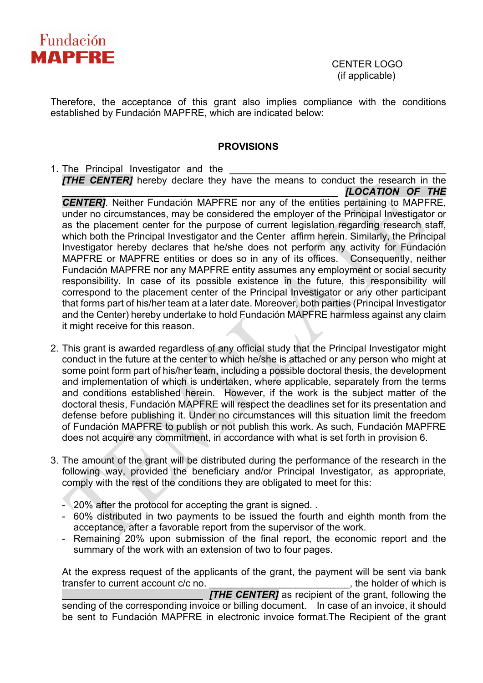

Therefore, the acceptance of this grant also implies compliance with the conditions established by Fundación MAPFRE, which are indicated below:

#### **PROVISIONS**

1. The Principal Investigator and the *[THE CENTER]* hereby declare they have the means to conduct the research in the \_\_\_\_\_\_\_\_\_\_\_\_\_\_\_\_\_\_\_\_\_\_\_\_\_\_\_\_\_\_\_\_\_\_\_\_\_\_\_\_\_\_\_\_\_\_\_\_\_\_\_ *[LOCATION OF THE* 

*CENTER]*. Neither Fundación MAPFRE nor any of the entities pertaining to MAPFRE, under no circumstances, may be considered the employer of the Principal Investigator or as the placement center for the purpose of current legislation regarding research staff, which both the Principal Investigator and the Center affirm herein. Similarly, the Principal Investigator hereby declares that he/she does not perform any activity for Fundación MAPFRE or MAPFRE entities or does so in any of its offices. Consequently, neither Fundación MAPFRE nor any MAPFRE entity assumes any employment or social security responsibility. In case of its possible existence in the future, this responsibility will correspond to the placement center of the Principal Investigator or any other participant that forms part of his/her team at a later date. Moreover, both parties (Principal Investigator and the Center) hereby undertake to hold Fundación MAPFRE harmless against any claim it might receive for this reason.

- 2. This grant is awarded regardless of any official study that the Principal Investigator might conduct in the future at the center to which he/she is attached or any person who might at some point form part of his/her team, including a possible doctoral thesis, the development and implementation of which is undertaken, where applicable, separately from the terms and conditions established herein. However, if the work is the subject matter of the doctoral thesis, Fundación MAPFRE will respect the deadlines set for its presentation and defense before publishing it. Under no circumstances will this situation limit the freedom of Fundación MAPFRE to publish or not publish this work. As such, Fundación MAPFRE does not acquire any commitment, in accordance with what is set forth in provision 6.
- 3. The amount of the grant will be distributed during the performance of the research in the following way, provided the beneficiary and/or Principal Investigator, as appropriate, comply with the rest of the conditions they are obligated to meet for this:
	- 20% after the protocol for accepting the grant is signed.
	- 60% distributed in two payments to be issued the fourth and eighth month from the acceptance, after a favorable report from the supervisor of the work.
	- Remaining 20% upon submission of the final report, the economic report and the summary of the work with an extension of two to four pages.

At the express request of the applicants of the grant, the payment will be sent via bank transfer to current account c/c no. The set of the holder of which is **[THE CENTER]** as recipient of the grant, following the sending of the corresponding invoice or billing document. In case of an invoice, it should be sent to Fundación MAPFRE in electronic invoice format.The Recipient of the grant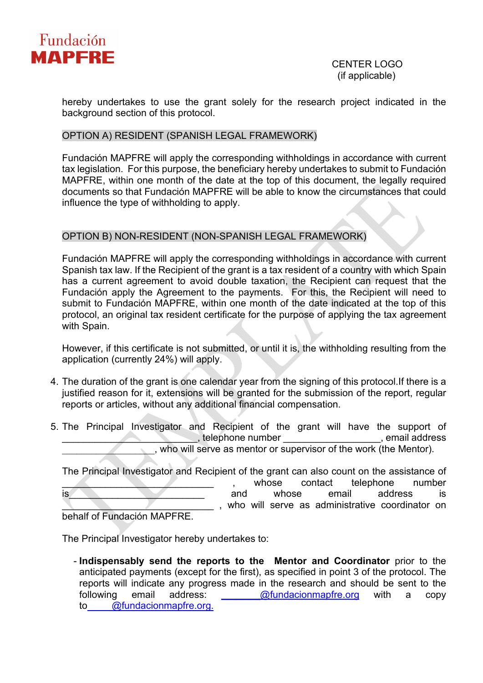

hereby undertakes to use the grant solely for the research project indicated in the background section of this protocol.

#### OPTION A) RESIDENT (SPANISH LEGAL FRAMEWORK)

Fundación MAPFRE will apply the corresponding withholdings in accordance with current tax legislation. For this purpose, the beneficiary hereby undertakes to submit to Fundación MAPFRE, within one month of the date at the top of this document, the legally required documents so that Fundación MAPFRE will be able to know the circumstances that could influence the type of withholding to apply.

#### OPTION B) NON-RESIDENT (NON-SPANISH LEGAL FRAMEWORK)

Fundación MAPFRE will apply the corresponding withholdings in accordance with current Spanish tax law. If the Recipient of the grant is a tax resident of a country with which Spain has a current agreement to avoid double taxation, the Recipient can request that the Fundación apply the Agreement to the payments. For this, the Recipient will need to submit to Fundación MAPFRE, within one month of the date indicated at the top of this protocol, an original tax resident certificate for the purpose of applying the tax agreement with Spain.

However, if this certificate is not submitted, or until it is, the withholding resulting from the application (currently 24%) will apply.

- 4. The duration of the grant is one calendar year from the signing of this protocol.If there is a justified reason for it, extensions will be granted for the submission of the report, regular reports or articles, without any additional financial compensation.
- 5. The Principal Investigator and Recipient of the grant will have the support of \_\_\_\_\_\_\_\_\_\_\_\_\_\_\_\_\_\_\_\_\_\_\_\_\_, telephone number \_\_\_\_\_\_\_\_\_\_\_\_\_\_\_\_\_\_, email address who will serve as mentor or supervisor of the work (the Mentor).

The Principal Investigator and Recipient of the grant can also count on the assistance of **EXAMPLE 2008 THE 2009 SET 2009 SET 2009 SET 2009 SET 2009 SET 2009 SET 2009 SET 2009 SET 2009 SET 2009 SET 2009 SET 2009 SET 2009 SET 2009 SET 2009 SET 2009 SET 2009 SET 2009 SET 2009 SET 2009 SET 2009 SET 2009 SET 2009 S** is and whose email address is \_\_\_\_\_\_\_\_\_\_\_\_\_\_\_\_\_\_\_\_\_\_\_\_\_\_\_\_ , who will serve as administrative coordinator on

behalf of Fundación MAPFRE.

The Principal Investigator hereby undertakes to:

- **Indispensably send the reports to the Mentor and Coordinator** prior to the anticipated payments (except for the first), as specified in point 3 of the protocol. The reports will indicate any progress made in the research and should be sent to the following email address:  $@$ fundacionmapfre.org with a copy to [@fundacionmapfre.org.](mailto:_____@fundacionmapfre.org)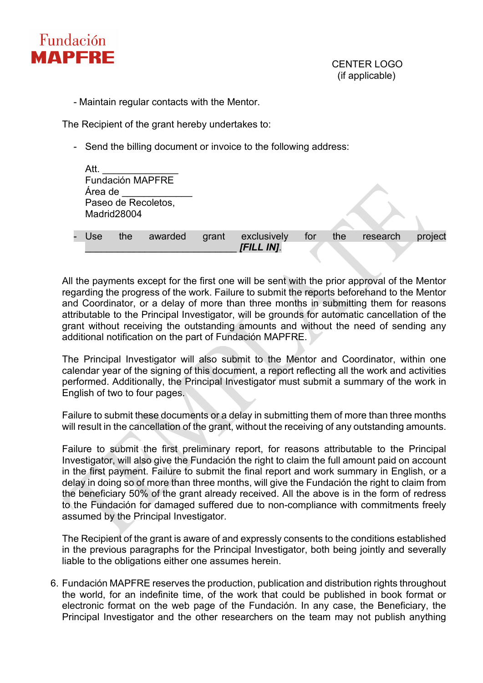

- Maintain regular contacts with the Mentor.

The Recipient of the grant hereby undertakes to:

- Send the billing document or invoice to the following address:

| Att.<br>Area de<br>Paseo de Recoletos,<br>Madrid28004 |     | <b>Fundación MAPFRE</b> |       |                   |     |     |          |         |
|-------------------------------------------------------|-----|-------------------------|-------|-------------------|-----|-----|----------|---------|
| - Use                                                 | the | awarded                 | grant | exclusively       | for | the | research | project |
|                                                       |     |                         |       | <b>[FILL IN].</b> |     |     |          |         |

All the payments except for the first one will be sent with the prior approval of the Mentor regarding the progress of the work. Failure to submit the reports beforehand to the Mentor and Coordinator, or a delay of more than three months in submitting them for reasons attributable to the Principal Investigator, will be grounds for automatic cancellation of the grant without receiving the outstanding amounts and without the need of sending any additional notification on the part of Fundación MAPFRE.

The Principal Investigator will also submit to the Mentor and Coordinator, within one calendar year of the signing of this document, a report reflecting all the work and activities performed. Additionally, the Principal Investigator must submit a summary of the work in English of two to four pages.

Failure to submit these documents or a delay in submitting them of more than three months will result in the cancellation of the grant, without the receiving of any outstanding amounts.

Failure to submit the first preliminary report, for reasons attributable to the Principal Investigator, will also give the Fundación the right to claim the full amount paid on account in the first payment. Failure to submit the final report and work summary in English, or a delay in doing so of more than three months, will give the Fundación the right to claim from the beneficiary 50% of the grant already received. All the above is in the form of redress to the Fundación for damaged suffered due to non-compliance with commitments freely assumed by the Principal Investigator.

The Recipient of the grant is aware of and expressly consents to the conditions established in the previous paragraphs for the Principal Investigator, both being jointly and severally liable to the obligations either one assumes herein.

6. Fundación MAPFRE reserves the production, publication and distribution rights throughout the world, for an indefinite time, of the work that could be published in book format or electronic format on the web page of the Fundación. In any case, the Beneficiary, the Principal Investigator and the other researchers on the team may not publish anything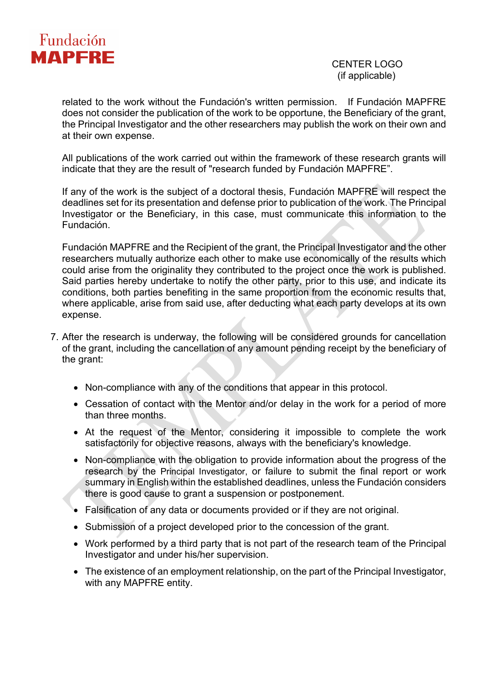

related to the work without the Fundación's written permission. If Fundación MAPFRE does not consider the publication of the work to be opportune, the Beneficiary of the grant, the Principal Investigator and the other researchers may publish the work on their own and at their own expense.

All publications of the work carried out within the framework of these research grants will indicate that they are the result of "research funded by Fundación MAPFRE".

If any of the work is the subject of a doctoral thesis, Fundación MAPFRE will respect the deadlines set for its presentation and defense prior to publication of the work. The Principal Investigator or the Beneficiary, in this case, must communicate this information to the Fundación.

Fundación MAPFRE and the Recipient of the grant, the Principal Investigator and the other researchers mutually authorize each other to make use economically of the results which could arise from the originality they contributed to the project once the work is published. Said parties hereby undertake to notify the other party, prior to this use, and indicate its conditions, both parties benefiting in the same proportion from the economic results that, where applicable, arise from said use, after deducting what each party develops at its own expense.

- 7. After the research is underway, the following will be considered grounds for cancellation of the grant, including the cancellation of any amount pending receipt by the beneficiary of the grant:
	- Non-compliance with any of the conditions that appear in this protocol.
	- Cessation of contact with the Mentor and/or delay in the work for a period of more than three months.
	- At the request of the Mentor, considering it impossible to complete the work satisfactorily for objective reasons, always with the beneficiary's knowledge.
	- Non-compliance with the obligation to provide information about the progress of the research by the Principal Investigator, or failure to submit the final report or work summary in English within the established deadlines, unless the Fundación considers there is good cause to grant a suspension or postponement.
	- Falsification of any data or documents provided or if they are not original.
	- Submission of a project developed prior to the concession of the grant.
	- Work performed by a third party that is not part of the research team of the Principal Investigator and under his/her supervision.
	- The existence of an employment relationship, on the part of the Principal Investigator, with any MAPFRE entity.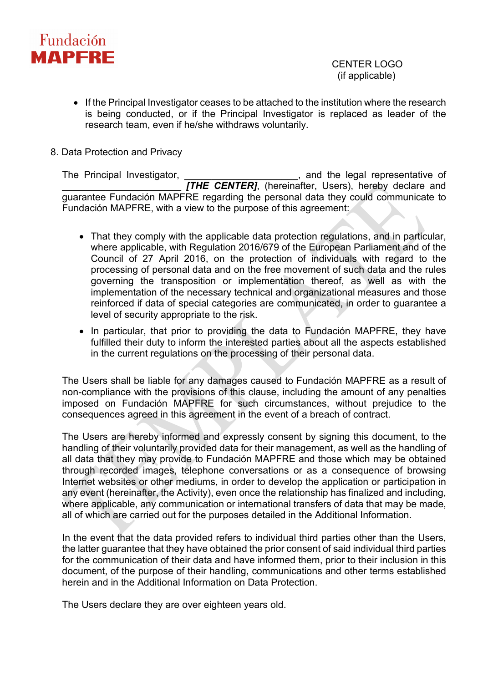

• If the Principal Investigator ceases to be attached to the institution where the research is being conducted, or if the Principal Investigator is replaced as leader of the research team, even if he/she withdraws voluntarily.

#### 8. Data Protection and Privacy

The Principal Investigator, \_\_\_\_\_\_\_\_\_\_\_\_\_\_\_\_\_\_\_\_\_, and the legal representative of \_\_\_\_\_\_\_\_\_\_\_\_\_\_\_\_\_\_\_\_\_\_ *[THE CENTER]*, (hereinafter, Users), hereby declare and guarantee Fundación MAPFRE regarding the personal data they could communicate to Fundación MAPFRE, with a view to the purpose of this agreement:

- That they comply with the applicable data protection regulations, and in particular, where applicable, with Regulation 2016/679 of the European Parliament and of the Council of 27 April 2016, on the protection of individuals with regard to the processing of personal data and on the free movement of such data and the rules governing the transposition or implementation thereof, as well as with the implementation of the necessary technical and organizational measures and those reinforced if data of special categories are communicated, in order to guarantee a level of security appropriate to the risk.
- In particular, that prior to providing the data to Fundación MAPFRE, they have fulfilled their duty to inform the interested parties about all the aspects established in the current regulations on the processing of their personal data.

The Users shall be liable for any damages caused to Fundación MAPFRE as a result of non-compliance with the provisions of this clause, including the amount of any penalties imposed on Fundación MAPFRE for such circumstances, without prejudice to the consequences agreed in this agreement in the event of a breach of contract.

The Users are hereby informed and expressly consent by signing this document, to the handling of their voluntarily provided data for their management, as well as the handling of all data that they may provide to Fundación MAPFRE and those which may be obtained through recorded images, telephone conversations or as a consequence of browsing Internet websites or other mediums, in order to develop the application or participation in any event (hereinafter, the Activity), even once the relationship has finalized and including, where applicable, any communication or international transfers of data that may be made, all of which are carried out for the purposes detailed in the Additional Information.

In the event that the data provided refers to individual third parties other than the Users, the latter guarantee that they have obtained the prior consent of said individual third parties for the communication of their data and have informed them, prior to their inclusion in this document, of the purpose of their handling, communications and other terms established herein and in the Additional Information on Data Protection.

The Users declare they are over eighteen years old.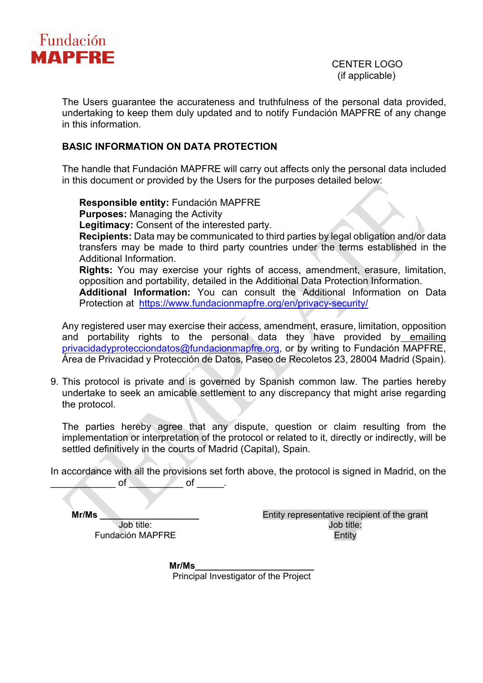

The Users guarantee the accurateness and truthfulness of the personal data provided, undertaking to keep them duly updated and to notify Fundación MAPFRE of any change in this information.

## **BASIC INFORMATION ON DATA PROTECTION**

The handle that Fundación MAPFRE will carry out affects only the personal data included in this document or provided by the Users for the purposes detailed below:

**Responsible entity:** Fundación MAPFRE

**Purposes:** Managing the Activity

**Legitimacy:** Consent of the interested party.

**Recipients:** Data may be communicated to third parties by legal obligation and/or data transfers may be made to third party countries under the terms established in the Additional Information.

**Rights:** You may exercise your rights of access, amendment, erasure, limitation, opposition and portability, detailed in the Additional Data Protection Information.

**Additional Information:** You can consult the Additional Information on Data Protection at <https://www.fundacionmapfre.org/en/privacy-security/>

Any registered user may exercise their access, amendment, erasure, limitation, opposition and portability rights to the personal data they have provided by emailing [privacidadyprotecciondatos@fundacionmapfre.org,](mailto:privacidadyprotecciondatos@fundacionmapfre.org) or by writing to Fundación MAPFRE, Área de Privacidad y Protección de Datos, Paseo de Recoletos 23, 28004 Madrid (Spain).

9. This protocol is private and is governed by Spanish common law. The parties hereby undertake to seek an amicable settlement to any discrepancy that might arise regarding the protocol.

The parties hereby agree that any dispute, question or claim resulting from the implementation or interpretation of the protocol or related to it, directly or indirectly, will be settled definitively in the courts of Madrid (Capital), Spain.

In accordance with all the provisions set forth above, the protocol is signed in Madrid, on the  $\circ$  of  $\qquad \qquad \circ$  of  $\qquad \qquad .$ 

**Mr/Ms \_\_\_\_\_\_\_\_\_\_\_\_\_\_\_\_\_\_\_\_**

Job title: Fundación MAPFRE Entity representative recipient of the grant Job title: Entity

**Mr/Ms\_\_\_\_\_\_\_\_\_\_\_\_\_\_\_\_\_\_\_\_\_\_\_\_** Principal Investigator of the Project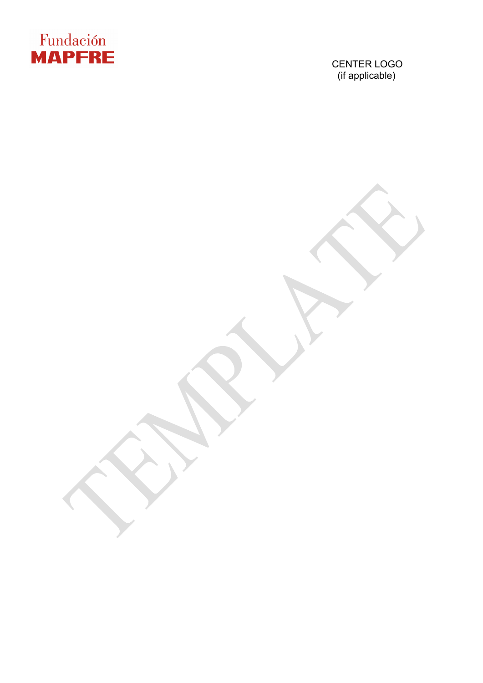